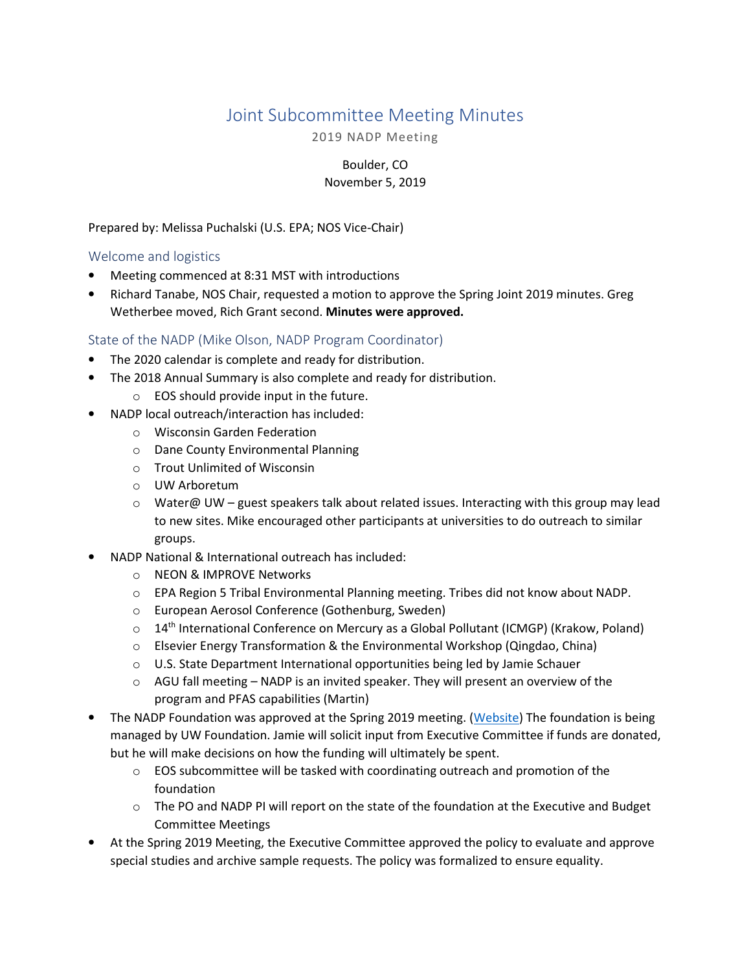# Joint Subcommittee Meeting Minutes

2019 NADP Meeting

Boulder, CO November 5, 2019

Prepared by: Melissa Puchalski (U.S. EPA; NOS Vice-Chair)

Welcome and logistics

- Meeting commenced at 8:31 MST with introductions
- Richard Tanabe, NOS Chair, requested a motion to approve the Spring Joint 2019 minutes. Greg Wetherbee moved, Rich Grant second. Minutes were approved.

## State of the NADP (Mike Olson, NADP Program Coordinator)

- The 2020 calendar is complete and ready for distribution.
- The 2018 Annual Summary is also complete and ready for distribution.
	- $\circ$  EOS should provide input in the future.
- NADP local outreach/interaction has included:
	- o Wisconsin Garden Federation
	- o Dane County Environmental Planning
	- o Trout Unlimited of Wisconsin
	- o UW Arboretum
	- $\circ$  Water@ UW guest speakers talk about related issues. Interacting with this group may lead to new sites. Mike encouraged other participants at universities to do outreach to similar groups.
- NADP National & International outreach has included:
	- o NEON & IMPROVE Networks
	- $\circ$  EPA Region 5 Tribal Environmental Planning meeting. Tribes did not know about NADP.
	- o European Aerosol Conference (Gothenburg, Sweden)
	- $\circ$  14<sup>th</sup> International Conference on Mercury as a Global Pollutant (ICMGP) (Krakow, Poland)
	- o Elsevier Energy Transformation & the Environmental Workshop (Qingdao, China)
	- o U.S. State Department International opportunities being led by Jamie Schauer
	- $\circ$  AGU fall meeting NADP is an invited speaker. They will present an overview of the program and PFAS capabilities (Martin)
- The NADP Foundation was approved at the Spring 2019 meeting. (Website) The foundation is being managed by UW Foundation. Jamie will solicit input from Executive Committee if funds are donated, but he will make decisions on how the funding will ultimately be spent.
	- $\circ$  EOS subcommittee will be tasked with coordinating outreach and promotion of the foundation
	- o The PO and NADP PI will report on the state of the foundation at the Executive and Budget Committee Meetings
- At the Spring 2019 Meeting, the Executive Committee approved the policy to evaluate and approve special studies and archive sample requests. The policy was formalized to ensure equality.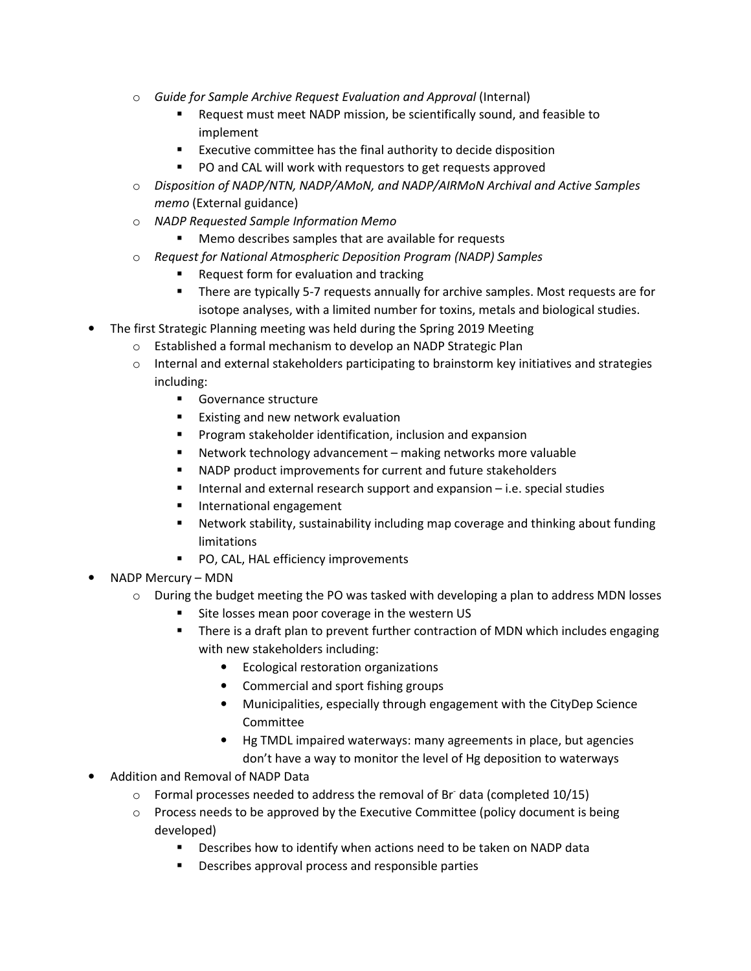- $\circ$  Guide for Sample Archive Request Evaluation and Approval (Internal)
	- Request must meet NADP mission, be scientifically sound, and feasible to implement
	- Executive committee has the final authority to decide disposition
	- **PO and CAL will work with requestors to get requests approved**
- $\circ$  Disposition of NADP/NTN, NADP/AMoN, and NADP/AIRMoN Archival and Active Samples memo (External guidance)
- o NADP Requested Sample Information Memo
	- Memo describes samples that are available for requests
- o Request for National Atmospheric Deposition Program (NADP) Samples
	- Request form for evaluation and tracking
	- There are typically 5-7 requests annually for archive samples. Most requests are for isotope analyses, with a limited number for toxins, metals and biological studies.
- The first Strategic Planning meeting was held during the Spring 2019 Meeting
	- o Established a formal mechanism to develop an NADP Strategic Plan
	- $\circ$  Internal and external stakeholders participating to brainstorm key initiatives and strategies including:
		- **Governance structure**
		- **Existing and new network evaluation**
		- **Program stakeholder identification, inclusion and expansion**
		- Network technology advancement making networks more valuable
		- NADP product improvements for current and future stakeholders
		- Internal and external research support and expansion i.e. special studies
		- **International engagement**
		- Network stability, sustainability including map coverage and thinking about funding limitations
		- **PO, CAL, HAL efficiency improvements**
- NADP Mercury MDN
	- $\circ$  During the budget meeting the PO was tasked with developing a plan to address MDN losses
		- Site losses mean poor coverage in the western US
		- There is a draft plan to prevent further contraction of MDN which includes engaging with new stakeholders including:
			- Ecological restoration organizations
			- Commercial and sport fishing groups
			- Municipalities, especially through engagement with the CityDep Science Committee
			- Hg TMDL impaired waterways: many agreements in place, but agencies don't have a way to monitor the level of Hg deposition to waterways
- Addition and Removal of NADP Data
	- $\circ$  Formal processes needed to address the removal of Br data (completed 10/15)
	- o Process needs to be approved by the Executive Committee (policy document is being developed)
		- **Describes how to identify when actions need to be taken on NADP data**
		- **•** Describes approval process and responsible parties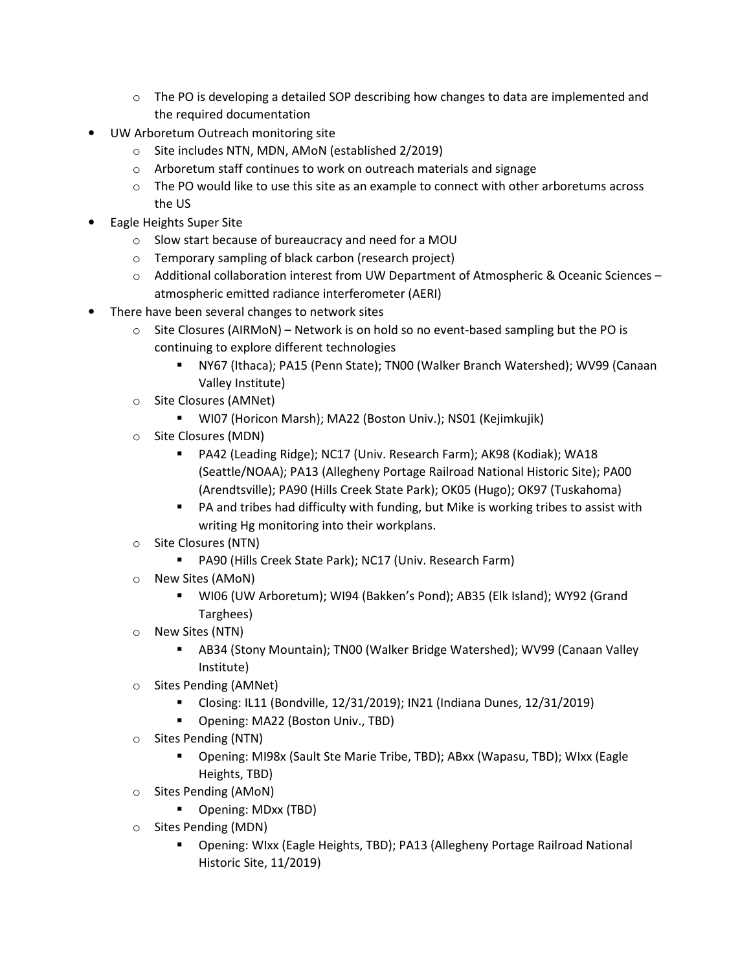- $\circ$  The PO is developing a detailed SOP describing how changes to data are implemented and the required documentation
- UW Arboretum Outreach monitoring site
	- o Site includes NTN, MDN, AMoN (established 2/2019)
	- o Arboretum staff continues to work on outreach materials and signage
	- $\circ$  The PO would like to use this site as an example to connect with other arboretums across the US
- Eagle Heights Super Site
	- o Slow start because of bureaucracy and need for a MOU
	- o Temporary sampling of black carbon (research project)
	- o Additional collaboration interest from UW Department of Atmospheric & Oceanic Sciences atmospheric emitted radiance interferometer (AERI)
- There have been several changes to network sites
	- $\circ$  Site Closures (AIRMoN) Network is on hold so no event-based sampling but the PO is continuing to explore different technologies
		- NY67 (Ithaca); PA15 (Penn State); TN00 (Walker Branch Watershed); WV99 (Canaan Valley Institute)
	- o Site Closures (AMNet)
		- WI07 (Horicon Marsh); MA22 (Boston Univ.); NS01 (Kejimkujik)
	- o Site Closures (MDN)
		- PA42 (Leading Ridge); NC17 (Univ. Research Farm); AK98 (Kodiak); WA18 (Seattle/NOAA); PA13 (Allegheny Portage Railroad National Historic Site); PA00 (Arendtsville); PA90 (Hills Creek State Park); OK05 (Hugo); OK97 (Tuskahoma)
		- PA and tribes had difficulty with funding, but Mike is working tribes to assist with writing Hg monitoring into their workplans.
	- o Site Closures (NTN)
		- PA90 (Hills Creek State Park); NC17 (Univ. Research Farm)
	- o New Sites (AMoN)
		- WI06 (UW Arboretum); WI94 (Bakken's Pond); AB35 (Elk Island); WY92 (Grand Targhees)
	- o New Sites (NTN)
		- AB34 (Stony Mountain); TN00 (Walker Bridge Watershed); WV99 (Canaan Valley Institute)
	- o Sites Pending (AMNet)
		- Closing: IL11 (Bondville, 12/31/2019); IN21 (Indiana Dunes, 12/31/2019)
		- **•** Opening: MA22 (Boston Univ., TBD)
	- o Sites Pending (NTN)
		- Opening: MI98x (Sault Ste Marie Tribe, TBD); ABxx (Wapasu, TBD); WIxx (Eagle Heights, TBD)
	- o Sites Pending (AMoN)
		- Opening: MDxx (TBD)
	- o Sites Pending (MDN)
		- Opening: WIxx (Eagle Heights, TBD); PA13 (Allegheny Portage Railroad National Historic Site, 11/2019)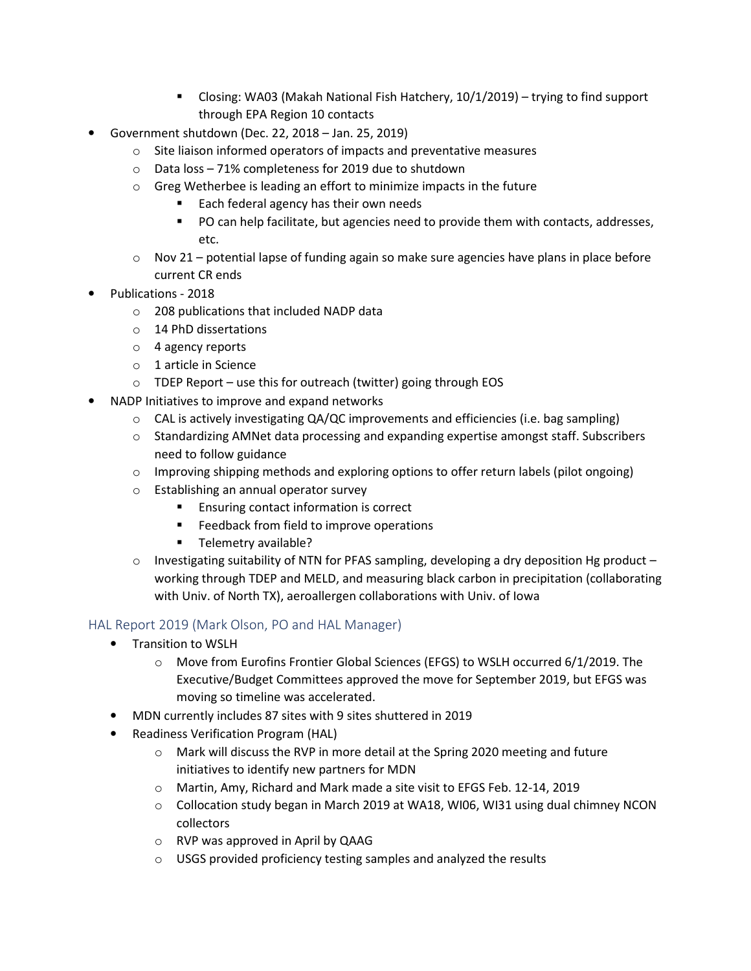- Closing: WA03 (Makah National Fish Hatchery, 10/1/2019) trying to find support through EPA Region 10 contacts
- Government shutdown (Dec. 22, 2018 Jan. 25, 2019)
	- o Site liaison informed operators of impacts and preventative measures
	- o Data loss 71% completeness for 2019 due to shutdown
	- o Greg Wetherbee is leading an effort to minimize impacts in the future
		- Each federal agency has their own needs
		- **PO can help facilitate, but agencies need to provide them with contacts, addresses,** etc.
	- $\circ$  Nov 21 potential lapse of funding again so make sure agencies have plans in place before current CR ends
- Publications 2018
	- o 208 publications that included NADP data
	- o 14 PhD dissertations
	- o 4 agency reports
	- o 1 article in Science
	- o TDEP Report use this for outreach (twitter) going through EOS
- NADP Initiatives to improve and expand networks
	- $\circ$  CAL is actively investigating QA/QC improvements and efficiencies (i.e. bag sampling)
	- $\circ$  Standardizing AMNet data processing and expanding expertise amongst staff. Subscribers need to follow guidance
	- $\circ$  Improving shipping methods and exploring options to offer return labels (pilot ongoing)
	- o Establishing an annual operator survey
		- **Ensuring contact information is correct**
		- **Feedback from field to improve operations**
		- **Telemetry available?**
	- $\circ$  Investigating suitability of NTN for PFAS sampling, developing a dry deposition Hg product working through TDEP and MELD, and measuring black carbon in precipitation (collaborating with Univ. of North TX), aeroallergen collaborations with Univ. of Iowa

## HAL Report 2019 (Mark Olson, PO and HAL Manager)

- Transition to WSLH
	- $\circ$  Move from Eurofins Frontier Global Sciences (EFGS) to WSLH occurred 6/1/2019. The Executive/Budget Committees approved the move for September 2019, but EFGS was moving so timeline was accelerated.
- MDN currently includes 87 sites with 9 sites shuttered in 2019
- Readiness Verification Program (HAL)
	- o Mark will discuss the RVP in more detail at the Spring 2020 meeting and future initiatives to identify new partners for MDN
	- o Martin, Amy, Richard and Mark made a site visit to EFGS Feb. 12-14, 2019
	- $\circ$  Collocation study began in March 2019 at WA18, WI06, WI31 using dual chimney NCON collectors
	- o RVP was approved in April by QAAG
	- o USGS provided proficiency testing samples and analyzed the results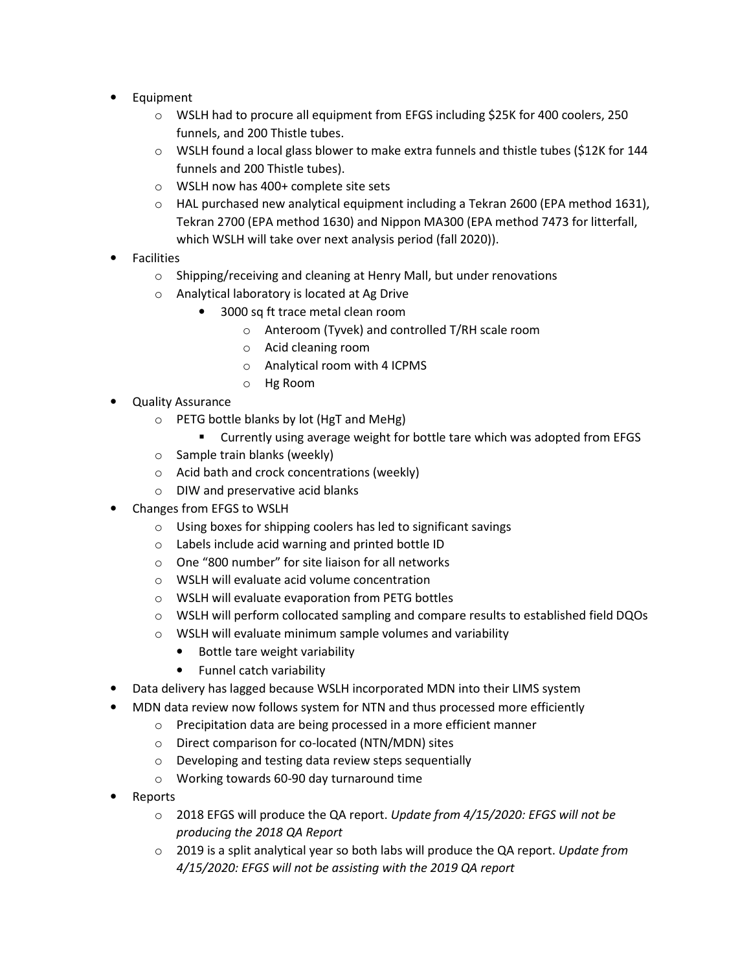- Equipment
	- o WSLH had to procure all equipment from EFGS including \$25K for 400 coolers, 250 funnels, and 200 Thistle tubes.
	- o WSLH found a local glass blower to make extra funnels and thistle tubes (\$12K for 144 funnels and 200 Thistle tubes).
	- o WSLH now has 400+ complete site sets
	- $\circ$  HAL purchased new analytical equipment including a Tekran 2600 (EPA method 1631), Tekran 2700 (EPA method 1630) and Nippon MA300 (EPA method 7473 for litterfall, which WSLH will take over next analysis period (fall 2020)).
- **Facilities** 
	- o Shipping/receiving and cleaning at Henry Mall, but under renovations
	- o Analytical laboratory is located at Ag Drive
		- 3000 sq ft trace metal clean room
			- o Anteroom (Tyvek) and controlled T/RH scale room
			- o Acid cleaning room
			- o Analytical room with 4 ICPMS
			- o Hg Room
- Quality Assurance
	- o PETG bottle blanks by lot (HgT and MeHg)
		- Currently using average weight for bottle tare which was adopted from EFGS
	- o Sample train blanks (weekly)
	- o Acid bath and crock concentrations (weekly)
	- o DIW and preservative acid blanks
- Changes from EFGS to WSLH
	- o Using boxes for shipping coolers has led to significant savings
	- o Labels include acid warning and printed bottle ID
	- o One "800 number" for site liaison for all networks
	- o WSLH will evaluate acid volume concentration
	- o WSLH will evaluate evaporation from PETG bottles
	- o WSLH will perform collocated sampling and compare results to established field DQOs
	- o WSLH will evaluate minimum sample volumes and variability
		- Bottle tare weight variability
		- Funnel catch variability
- Data delivery has lagged because WSLH incorporated MDN into their LIMS system
- MDN data review now follows system for NTN and thus processed more efficiently
	- o Precipitation data are being processed in a more efficient manner
		- o Direct comparison for co-located (NTN/MDN) sites
		- o Developing and testing data review steps sequentially
		- o Working towards 60-90 day turnaround time
- Reports
	- 2018 EFGS will produce the QA report. Update from 4/15/2020: EFGS will not be producing the 2018 QA Report
	- $\circ$  2019 is a split analytical year so both labs will produce the QA report. Update from 4/15/2020: EFGS will not be assisting with the 2019 QA report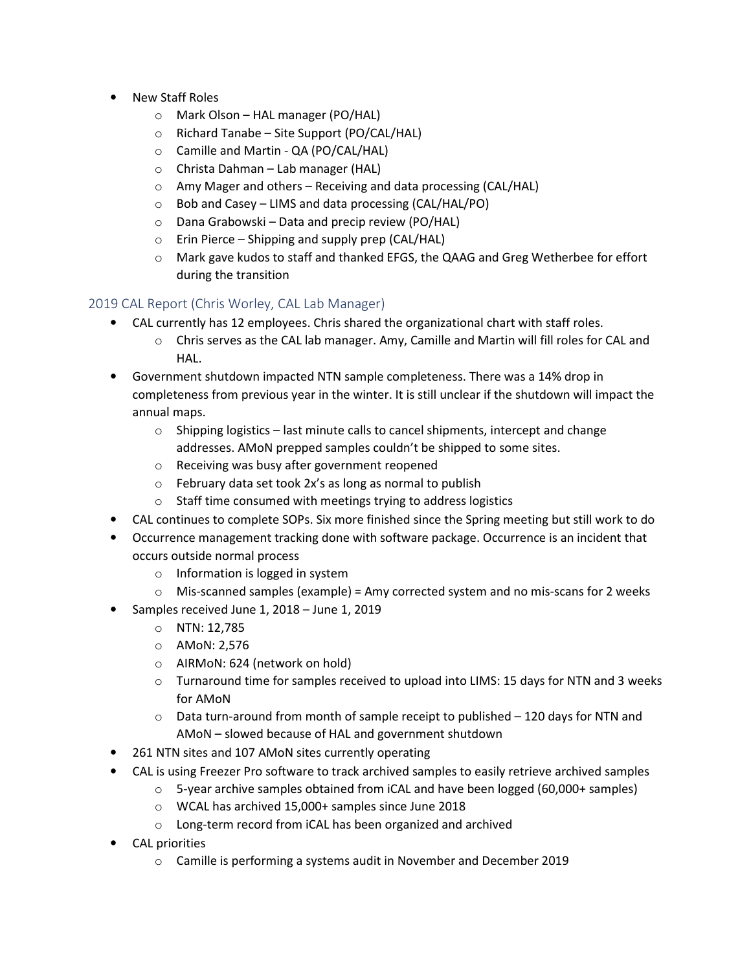- New Staff Roles
	- o Mark Olson HAL manager (PO/HAL)
	- o Richard Tanabe Site Support (PO/CAL/HAL)
	- o Camille and Martin QA (PO/CAL/HAL)
	- o Christa Dahman Lab manager (HAL)
	- o Amy Mager and others Receiving and data processing (CAL/HAL)
	- o Bob and Casey LIMS and data processing (CAL/HAL/PO)
	- o Dana Grabowski Data and precip review (PO/HAL)
	- $\circ$  Erin Pierce Shipping and supply prep (CAL/HAL)
	- o Mark gave kudos to staff and thanked EFGS, the QAAG and Greg Wetherbee for effort during the transition

## 2019 CAL Report (Chris Worley, CAL Lab Manager)

- CAL currently has 12 employees. Chris shared the organizational chart with staff roles.
	- o Chris serves as the CAL lab manager. Amy, Camille and Martin will fill roles for CAL and HAL.
- Government shutdown impacted NTN sample completeness. There was a 14% drop in completeness from previous year in the winter. It is still unclear if the shutdown will impact the annual maps.
	- $\circ$  Shipping logistics last minute calls to cancel shipments, intercept and change addresses. AMoN prepped samples couldn't be shipped to some sites.
	- o Receiving was busy after government reopened
	- o February data set took 2x's as long as normal to publish
	- o Staff time consumed with meetings trying to address logistics
- CAL continues to complete SOPs. Six more finished since the Spring meeting but still work to do
- Occurrence management tracking done with software package. Occurrence is an incident that occurs outside normal process
	- o Information is logged in system
	- $\circ$  Mis-scanned samples (example) = Amy corrected system and no mis-scans for 2 weeks
- Samples received June 1, 2018 June 1, 2019
	- o NTN: 12,785
	- o AMoN: 2,576
	- o AIRMoN: 624 (network on hold)
	- $\circ$  Turnaround time for samples received to upload into LIMS: 15 days for NTN and 3 weeks for AMoN
	- $\circ$  Data turn-around from month of sample receipt to published 120 days for NTN and AMoN – slowed because of HAL and government shutdown
- 261 NTN sites and 107 AMoN sites currently operating
- CAL is using Freezer Pro software to track archived samples to easily retrieve archived samples
	- $\circ$  5-year archive samples obtained from iCAL and have been logged (60,000+ samples)
	- o WCAL has archived 15,000+ samples since June 2018
	- o Long-term record from iCAL has been organized and archived
- CAL priorities
	- o Camille is performing a systems audit in November and December 2019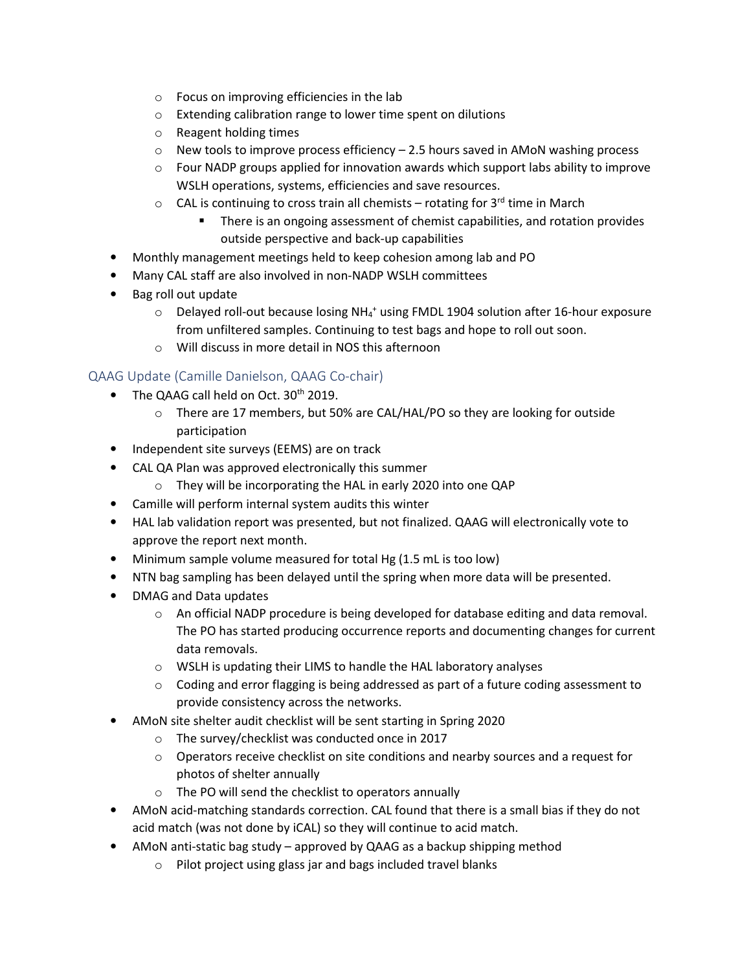- o Focus on improving efficiencies in the lab
- o Extending calibration range to lower time spent on dilutions
- o Reagent holding times
- $\circ$  New tools to improve process efficiency 2.5 hours saved in AMoN washing process
- $\circ$  Four NADP groups applied for innovation awards which support labs ability to improve WSLH operations, systems, efficiencies and save resources.
- $\circ$  CAL is continuing to cross train all chemists rotating for 3<sup>rd</sup> time in March
	- **There is an ongoing assessment of chemist capabilities, and rotation provides** outside perspective and back-up capabilities
- Monthly management meetings held to keep cohesion among lab and PO
- Many CAL staff are also involved in non-NADP WSLH committees
- Bag roll out update
	- $\circ$  Delayed roll-out because losing NH<sub>4</sub><sup>+</sup> using FMDL 1904 solution after 16-hour exposure from unfiltered samples. Continuing to test bags and hope to roll out soon.
	- o Will discuss in more detail in NOS this afternoon

#### QAAG Update (Camille Danielson, QAAG Co-chair)

- The QAAG call held on Oct. 30<sup>th</sup> 2019.
	- o There are 17 members, but 50% are CAL/HAL/PO so they are looking for outside participation
- Independent site surveys (EEMS) are on track
- CAL QA Plan was approved electronically this summer
	- o They will be incorporating the HAL in early 2020 into one QAP
- Camille will perform internal system audits this winter
- HAL lab validation report was presented, but not finalized. QAAG will electronically vote to approve the report next month.
- Minimum sample volume measured for total Hg (1.5 mL is too low)
- NTN bag sampling has been delayed until the spring when more data will be presented.
- DMAG and Data updates
	- o An official NADP procedure is being developed for database editing and data removal. The PO has started producing occurrence reports and documenting changes for current data removals.
	- o WSLH is updating their LIMS to handle the HAL laboratory analyses
	- $\circ$  Coding and error flagging is being addressed as part of a future coding assessment to provide consistency across the networks.
- AMoN site shelter audit checklist will be sent starting in Spring 2020
	- o The survey/checklist was conducted once in 2017
	- $\circ$  Operators receive checklist on site conditions and nearby sources and a request for photos of shelter annually
	- o The PO will send the checklist to operators annually
- AMoN acid-matching standards correction. CAL found that there is a small bias if they do not acid match (was not done by iCAL) so they will continue to acid match.
- AMoN anti-static bag study approved by QAAG as a backup shipping method
	- o Pilot project using glass jar and bags included travel blanks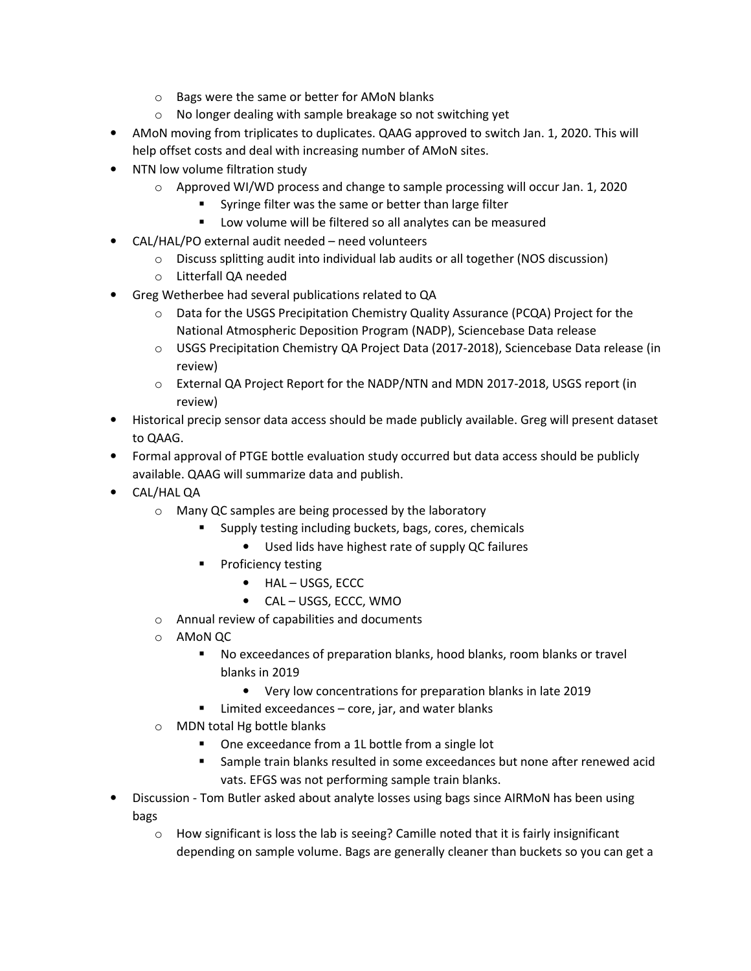- o Bags were the same or better for AMoN blanks
- o No longer dealing with sample breakage so not switching yet
- AMoN moving from triplicates to duplicates. QAAG approved to switch Jan. 1, 2020. This will help offset costs and deal with increasing number of AMoN sites.
- NTN low volume filtration study
	- $\circ$  Approved WI/WD process and change to sample processing will occur Jan. 1, 2020
		- Syringe filter was the same or better than large filter
		- **EXECT** Low volume will be filtered so all analytes can be measured
- CAL/HAL/PO external audit needed need volunteers
	- $\circ$  Discuss splitting audit into individual lab audits or all together (NOS discussion)
	- o Litterfall QA needed
- Greg Wetherbee had several publications related to QA
	- o Data for the USGS Precipitation Chemistry Quality Assurance (PCQA) Project for the National Atmospheric Deposition Program (NADP), Sciencebase Data release
	- o USGS Precipitation Chemistry QA Project Data (2017-2018), Sciencebase Data release (in review)
	- o External QA Project Report for the NADP/NTN and MDN 2017-2018, USGS report (in review)
- Historical precip sensor data access should be made publicly available. Greg will present dataset to QAAG.
- Formal approval of PTGE bottle evaluation study occurred but data access should be publicly available. QAAG will summarize data and publish.
- CAL/HAL QA
	- o Many QC samples are being processed by the laboratory
		- Supply testing including buckets, bags, cores, chemicals
			- Used lids have highest rate of supply QC failures
		- **Proficiency testing** 
			- HAL USGS, ECCC
			- CAL USGS, ECCC, WMO
	- o Annual review of capabilities and documents
	- o AMoN QC
		- No exceedances of preparation blanks, hood blanks, room blanks or travel blanks in 2019
			- Very low concentrations for preparation blanks in late 2019
		- Limited exceedances core, jar, and water blanks
	- o MDN total Hg bottle blanks
		- One exceedance from a 1L bottle from a single lot
		- Sample train blanks resulted in some exceedances but none after renewed acid vats. EFGS was not performing sample train blanks.
- Discussion Tom Butler asked about analyte losses using bags since AIRMoN has been using bags
	- $\circ$  How significant is loss the lab is seeing? Camille noted that it is fairly insignificant depending on sample volume. Bags are generally cleaner than buckets so you can get a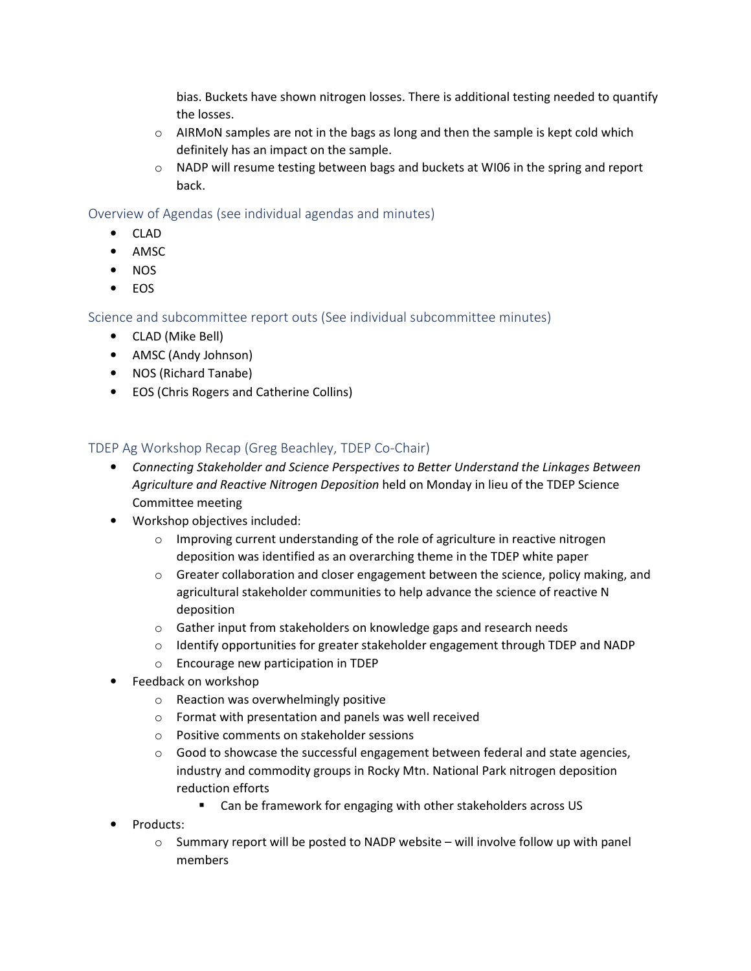bias. Buckets have shown nitrogen losses. There is additional testing needed to quantify the losses.

- $\circ$  AIRMoN samples are not in the bags as long and then the sample is kept cold which definitely has an impact on the sample.
- o NADP will resume testing between bags and buckets at WI06 in the spring and report back.

### Overview of Agendas (see individual agendas and minutes)

- CLAD
- AMSC
- NOS
- EOS

Science and subcommittee report outs (See individual subcommittee minutes)

- CLAD (Mike Bell)
- AMSC (Andy Johnson)
- NOS (Richard Tanabe)
- EOS (Chris Rogers and Catherine Collins)

## TDEP Ag Workshop Recap (Greg Beachley, TDEP Co-Chair)

- Connecting Stakeholder and Science Perspectives to Better Understand the Linkages Between Agriculture and Reactive Nitrogen Deposition held on Monday in lieu of the TDEP Science Committee meeting
- Workshop objectives included:
	- $\circ$  Improving current understanding of the role of agriculture in reactive nitrogen deposition was identified as an overarching theme in the TDEP white paper
	- $\circ$  Greater collaboration and closer engagement between the science, policy making, and agricultural stakeholder communities to help advance the science of reactive N deposition
	- o Gather input from stakeholders on knowledge gaps and research needs
	- o Identify opportunities for greater stakeholder engagement through TDEP and NADP
	- o Encourage new participation in TDEP
- Feedback on workshop
	- o Reaction was overwhelmingly positive
	- o Format with presentation and panels was well received
	- o Positive comments on stakeholder sessions
	- o Good to showcase the successful engagement between federal and state agencies, industry and commodity groups in Rocky Mtn. National Park nitrogen deposition reduction efforts
		- **EXECT** Can be framework for engaging with other stakeholders across US
- Products:
	- $\circ$  Summary report will be posted to NADP website will involve follow up with panel members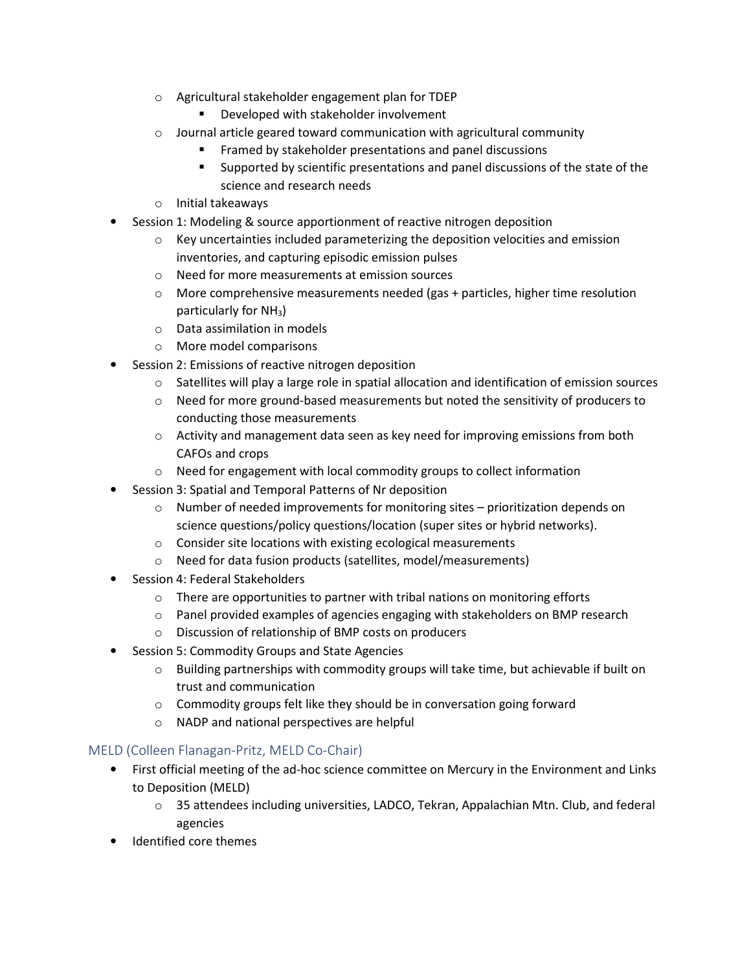- o Agricultural stakeholder engagement plan for TDEP
	- **Developed with stakeholder involvement**
- $\circ$  Journal article geared toward communication with agricultural community
	- **Framed by stakeholder presentations and panel discussions**
	- **EXECT** Supported by scientific presentations and panel discussions of the state of the science and research needs
- o Initial takeaways
- Session 1: Modeling & source apportionment of reactive nitrogen deposition
	- $\circ$  Key uncertainties included parameterizing the deposition velocities and emission inventories, and capturing episodic emission pulses
	- o Need for more measurements at emission sources
	- $\circ$  More comprehensive measurements needed (gas + particles, higher time resolution particularly for NH3)
	- o Data assimilation in models
	- o More model comparisons
- Session 2: Emissions of reactive nitrogen deposition
	- $\circ$  Satellites will play a large role in spatial allocation and identification of emission sources
	- $\circ$  Need for more ground-based measurements but noted the sensitivity of producers to conducting those measurements
	- $\circ$  Activity and management data seen as key need for improving emissions from both CAFOs and crops
	- o Need for engagement with local commodity groups to collect information
- Session 3: Spatial and Temporal Patterns of Nr deposition
	- $\circ$  Number of needed improvements for monitoring sites prioritization depends on science questions/policy questions/location (super sites or hybrid networks).
	- o Consider site locations with existing ecological measurements
	- o Need for data fusion products (satellites, model/measurements)
- Session 4: Federal Stakeholders
	- o There are opportunities to partner with tribal nations on monitoring efforts
	- $\circ$  Panel provided examples of agencies engaging with stakeholders on BMP research
	- o Discussion of relationship of BMP costs on producers
- Session 5: Commodity Groups and State Agencies
	- $\circ$  Building partnerships with commodity groups will take time, but achievable if built on trust and communication
	- o Commodity groups felt like they should be in conversation going forward
	- o NADP and national perspectives are helpful

#### MELD (Colleen Flanagan-Pritz, MELD Co-Chair)

- First official meeting of the ad-hoc science committee on Mercury in the Environment and Links to Deposition (MELD)
	- $\circ$  35 attendees including universities, LADCO, Tekran, Appalachian Mtn. Club, and federal agencies
- Identified core themes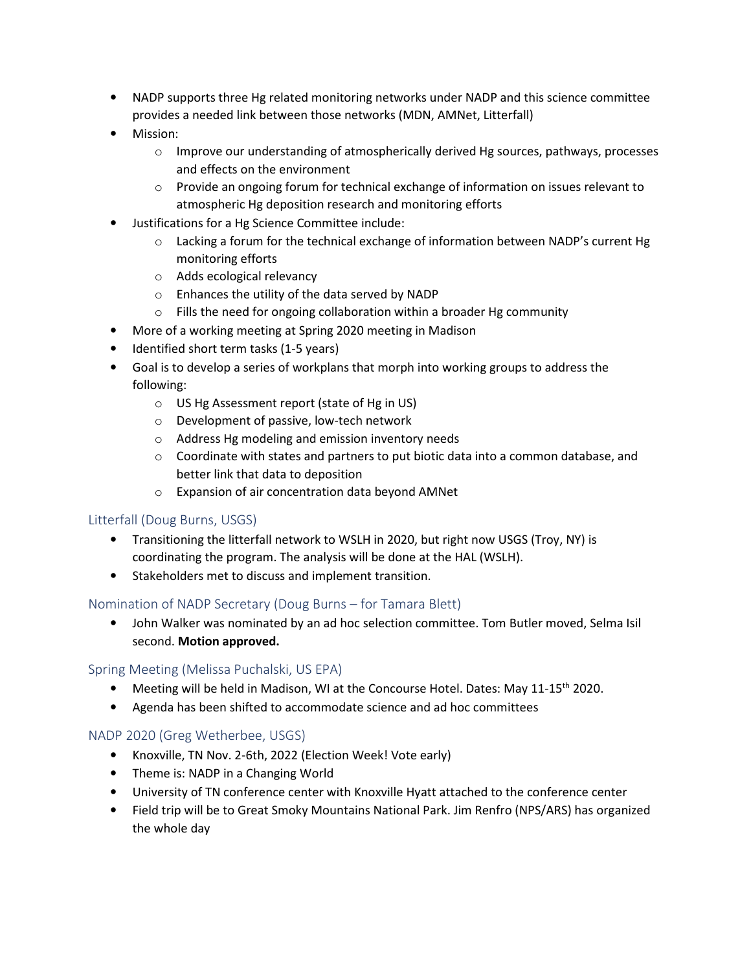- NADP supports three Hg related monitoring networks under NADP and this science committee provides a needed link between those networks (MDN, AMNet, Litterfall)
- Mission:
	- $\circ$  Improve our understanding of atmospherically derived Hg sources, pathways, processes and effects on the environment
	- $\circ$  Provide an ongoing forum for technical exchange of information on issues relevant to atmospheric Hg deposition research and monitoring efforts
- Justifications for a Hg Science Committee include:
	- $\circ$  Lacking a forum for the technical exchange of information between NADP's current Hg monitoring efforts
	- o Adds ecological relevancy
	- o Enhances the utility of the data served by NADP
	- o Fills the need for ongoing collaboration within a broader Hg community
- More of a working meeting at Spring 2020 meeting in Madison
- Identified short term tasks (1-5 years)
- Goal is to develop a series of workplans that morph into working groups to address the following:
	- o US Hg Assessment report (state of Hg in US)
	- o Development of passive, low-tech network
	- o Address Hg modeling and emission inventory needs
	- $\circ$  Coordinate with states and partners to put biotic data into a common database, and better link that data to deposition
	- o Expansion of air concentration data beyond AMNet

#### Litterfall (Doug Burns, USGS)

- Transitioning the litterfall network to WSLH in 2020, but right now USGS (Troy, NY) is coordinating the program. The analysis will be done at the HAL (WSLH).
- Stakeholders met to discuss and implement transition.

#### Nomination of NADP Secretary (Doug Burns – for Tamara Blett)

• John Walker was nominated by an ad hoc selection committee. Tom Butler moved, Selma Isil second. Motion approved.

#### Spring Meeting (Melissa Puchalski, US EPA)

- Meeting will be held in Madison, WI at the Concourse Hotel. Dates: May 11-15th 2020.
- Agenda has been shifted to accommodate science and ad hoc committees

#### NADP 2020 (Greg Wetherbee, USGS)

- Knoxville, TN Nov. 2-6th, 2022 (Election Week! Vote early)
- Theme is: NADP in a Changing World
- University of TN conference center with Knoxville Hyatt attached to the conference center
- Field trip will be to Great Smoky Mountains National Park. Jim Renfro (NPS/ARS) has organized the whole day